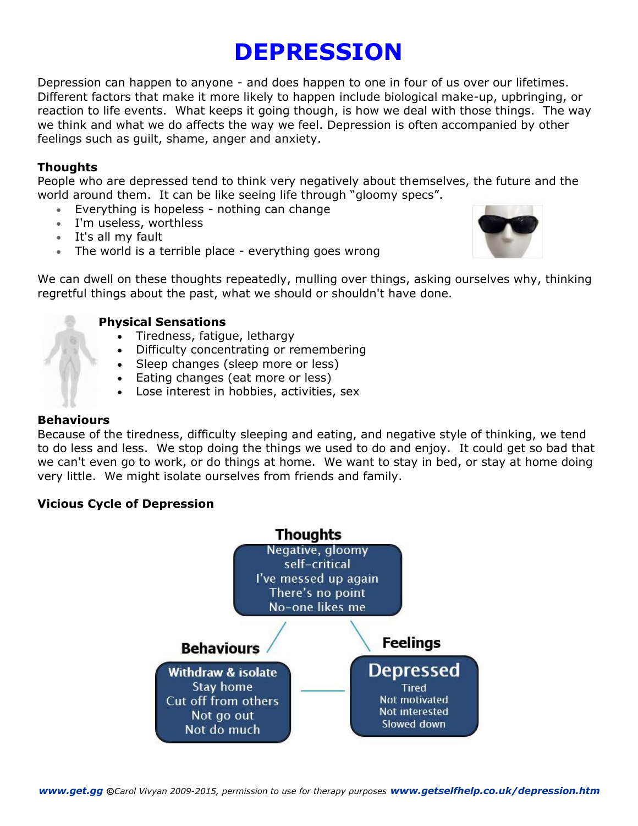# **DEPRESSION**

Depression can happen to anyone - and does happen to one in four of us over our lifetimes. Different factors that make it more likely to happen include biological make-up, upbringing, or reaction to life events. What keeps it going though, is how we deal with those things. The way we think and what we do affects the way we feel. Depression is often accompanied by other feelings such as guilt, shame, anger and anxiety.

### **Thoughts**

People who are depressed tend to think very negatively about themselves, the future and the world around them. It can be like seeing life through "gloomy specs".

- Everything is hopeless nothing can change
- I'm useless, worthless
- It's all my fault
- The world is a terrible place everything goes wrong



We can dwell on these thoughts repeatedly, mulling over things, asking ourselves why, thinking regretful things about the past, what we should or shouldn't have done.

### **Physical Sensations**

- Tiredness, fatigue, lethargy
- Difficulty concentrating or remembering
- Sleep changes (sleep more or less)
- Eating changes (eat more or less)
- Lose interest in hobbies, activities, sex

#### **Behaviours**

Because of the tiredness, difficulty sleeping and eating, and negative style of thinking, we tend to do less and less. We stop doing the things we used to do and enjoy. It could get so bad that we can't even go to work, or do things at home. We want to stay in bed, or stay at home doing very little. We might isolate ourselves from friends and family.

### **Vicious Cycle of Depression**

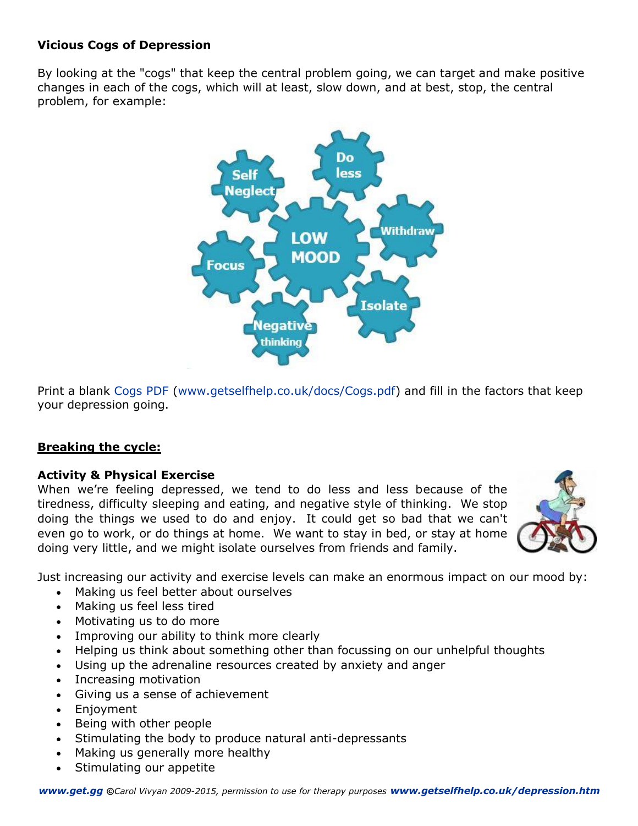# **Vicious Cogs of Depression**

By looking at the "cogs" that keep the central problem going, we can target and make positive changes in each of the cogs, which will at least, slow down, and at best, stop, the central problem, for example:



Print a blank [Cogs PDF](http://www.getselfhelp.co.uk/docs/Cogs.pdf) [\(www.getselfhelp.co.uk/docs/Cogs.pdf\)](http://www.getselfhelp.co.uk/docs/Cogs.pdf) and fill in the factors that keep your depression going.

# **Breaking the cycle:**

### **Activity & Physical Exercise**

When we're feeling depressed, we tend to do less and less because of the tiredness, difficulty sleeping and eating, and negative style of thinking. We stop doing the things we used to do and enjoy. It could get so bad that we can't even go to work, or do things at home. We want to stay in bed, or stay at home doing very little, and we might isolate ourselves from friends and family.



Just increasing our activity and exercise levels can make an enormous impact on our mood by:

- Making us feel better about ourselves
- Making us feel less tired
- Motivating us to do more
- Improving our ability to think more clearly
- Helping us think about something other than focussing on our unhelpful thoughts
- Using up the adrenaline resources created by anxiety and anger
- Increasing motivation
- Giving us a sense of achievement
- Enjoyment
- Being with other people
- Stimulating the body to produce natural anti-depressants
- Making us generally more healthy
- Stimulating our appetite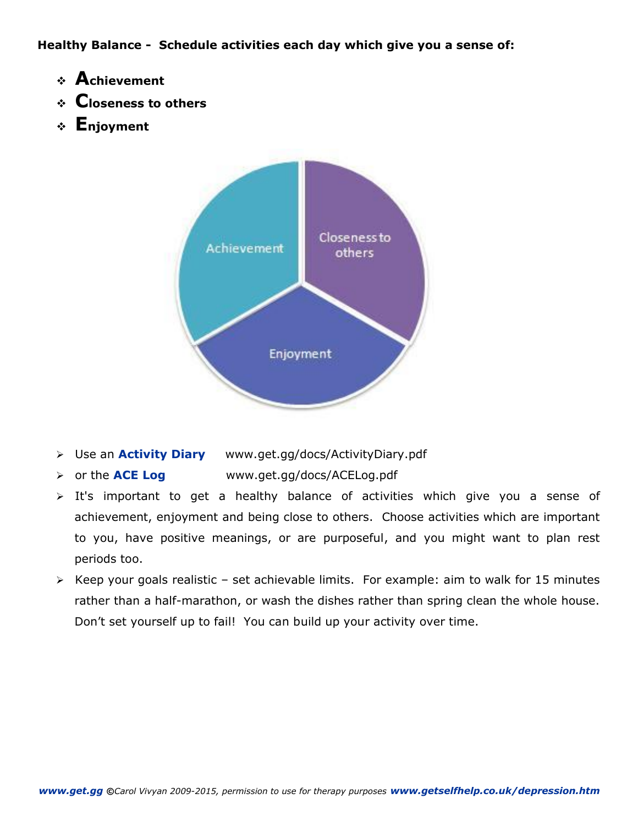**Healthy Balance - Schedule activities each day which give you a sense of:**

- **Achievement**
- **Closeness to others**
- **Enjoyment**



- Use an **[Activity Diary](http://www.getselfhelp.co.uk/ccount/click.php?id=14)** www.get.gg/docs/ActivityDiary.pdf
- or the **[ACE Log](http://www.getselfhelp.co.uk/ccount/click.php?id=15)** www.get.gg/docs/ACELog.pdf
- > It's important to get a healthy balance of activities which give you a sense of achievement, enjoyment and being close to others. Choose activities which are important to you, have positive meanings, or are purposeful, and you might want to plan rest periods too.
- $\triangleright$  Keep your goals realistic set achievable limits. For example: aim to walk for 15 minutes rather than a half-marathon, or wash the dishes rather than spring clean the whole house. Don't set yourself up to fail! You can build up your activity over time.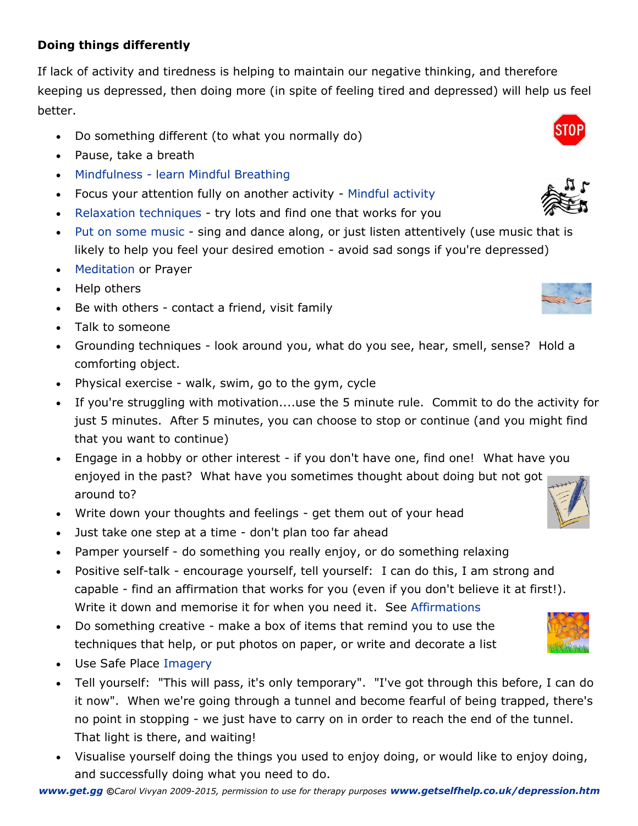# **Doing things differently**

If lack of activity and tiredness is helping to maintain our negative thinking, and therefore keeping us depressed, then doing more (in spite of feeling tired and depressed) will help us feel better.

- Do something different (to what you normally do)
- Pause, take a breath
- Mindfulness [learn Mindful Breathing](http://www.getselfhelp.co.uk/mindfulness.htm)
- Focus your attention fully on another activity [Mindful activity](http://www.getselfhelp.co.uk/mindfulness.htm)
- [Relaxation techniques -](http://www.cwgsy.net/private/get/relaxation.htm) try lots and find one that works for you
- [Put on some music -](http://www.cwgsy.net/private/get/music.htm) sing and dance along, or just listen attentively (use music that is likely to help you feel your desired emotion - avoid sad songs if you're depressed)
- [Meditation o](http://www.getselfhelp.co.uk/meditation.htm)r Prayer
- Help others
- Be with others contact a friend, visit family
- Talk to someone
- Grounding techniques look around you, what do you see, hear, smell, sense? Hold a comforting object.
- Physical exercise walk, swim, go to the gym, cycle
- If you're struggling with motivation....use the 5 minute rule. Commit to do the activity for just 5 minutes. After 5 minutes, you can choose to stop or continue (and you might find that you want to continue)
- Engage in a hobby or other interest if you don't have one, find one! What have you enjoyed in the past? What have you sometimes thought about doing but not got around to?
- Write down your thoughts and feelings get them out of your head
- Just take one step at a time don't plan too far ahead
- Pamper yourself do something you really enjoy, or do something relaxing
- Positive self-talk encourage yourself, tell yourself: I can do this, I am strong and capable - find an affirmation that works for you (even if you don't believe it at first!). Write it down and memorise it for when you need it. See [Affirmations](http://www.getselfhelp.co.uk/ccount/click.php?id=16)
- Do something creative make a box of items that remind you to use the techniques that help, or put photos on paper, or write and decorate a list
- Use Safe Place [Imagery](http://www.getselfhelp.co.uk/imagery.htm)
- Tell yourself: "This will pass, it's only temporary". "I've got through this before, I can do it now". When we're going through a tunnel and become fearful of being trapped, there's no point in stopping - we just have to carry on in order to reach the end of the tunnel. That light is there, and waiting!
- Visualise yourself doing the things you used to enjoy doing, or would like to enjoy doing, and successfully doing what you need to do.